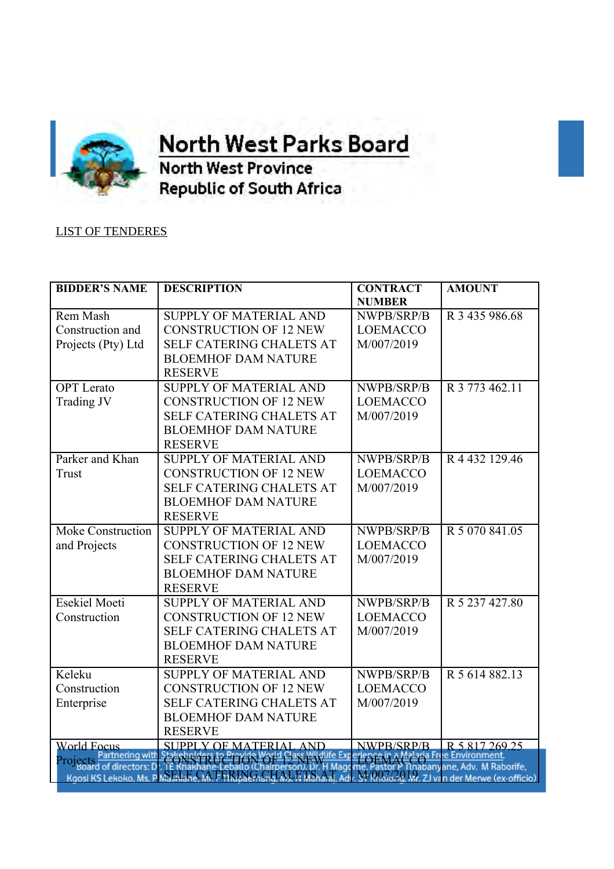

**OFFICE OF THE orth West Parks Board** 

**North West Province Republic of South Africa** 

## LIST OF TENDERES

| <b>BIDDER'S NAME</b>     | <b>DESCRIPTION</b>                                         | <b>CONTRACT</b> | <b>AMOUNT</b>                                           |
|--------------------------|------------------------------------------------------------|-----------------|---------------------------------------------------------|
|                          |                                                            | <b>NUMBER</b>   |                                                         |
| Rem Mash                 | SUPPLY OF MATERIAL AND                                     | NWPB/SRP/B      | R 3 435 986.68                                          |
| Construction and         | <b>CONSTRUCTION OF 12 NEW</b>                              | <b>LOEMACCO</b> |                                                         |
| Projects (Pty) Ltd       | <b>SELF CATERING CHALETS AT</b>                            | M/007/2019      |                                                         |
|                          | <b>BLOEMHOF DAM NATURE</b>                                 |                 |                                                         |
|                          | <b>RESERVE</b>                                             |                 |                                                         |
| <b>OPT</b> Lerato        | <b>SUPPLY OF MATERIAL AND</b>                              | NWPB/SRP/B      | R 3 773 462.11                                          |
| Trading JV               | <b>CONSTRUCTION OF 12 NEW</b>                              | <b>LOEMACCO</b> |                                                         |
|                          | <b>SELF CATERING CHALETS AT</b>                            | M/007/2019      |                                                         |
|                          | <b>BLOEMHOF DAM NATURE</b>                                 |                 |                                                         |
|                          | <b>RESERVE</b>                                             |                 |                                                         |
| Parker and Khan          | <b>SUPPLY OF MATERIAL AND</b>                              | NWPB/SRP/B      | R 4 432 129.46                                          |
| Trust                    | <b>CONSTRUCTION OF 12 NEW</b>                              | <b>LOEMACCO</b> |                                                         |
|                          | <b>SELF CATERING CHALETS AT</b>                            | M/007/2019      |                                                         |
|                          | <b>BLOEMHOF DAM NATURE</b>                                 |                 |                                                         |
|                          | <b>RESERVE</b>                                             |                 |                                                         |
| <b>Moke Construction</b> | <b>SUPPLY OF MATERIAL AND</b>                              | NWPB/SRP/B      | R 5 070 841.05                                          |
| and Projects             | <b>CONSTRUCTION OF 12 NEW</b>                              | <b>LOEMACCO</b> |                                                         |
|                          | <b>SELF CATERING CHALETS AT</b>                            | M/007/2019      |                                                         |
|                          | <b>BLOEMHOF DAM NATURE</b>                                 |                 |                                                         |
|                          | <b>RESERVE</b>                                             |                 |                                                         |
| <b>Esekiel Moeti</b>     | <b>SUPPLY OF MATERIAL AND</b>                              | NWPB/SRP/B      | R 5 237 427.80                                          |
| Construction             | <b>CONSTRUCTION OF 12 NEW</b>                              | <b>LOEMACCO</b> |                                                         |
|                          | <b>SELF CATERING CHALETS AT</b>                            | M/007/2019      |                                                         |
|                          | <b>BLOEMHOF DAM NATURE</b>                                 |                 |                                                         |
|                          | <b>RESERVE</b>                                             |                 |                                                         |
| Keleku                   | <b>SUPPLY OF MATERIAL AND</b>                              | NWPB/SRP/B      | R 5 614 882.13                                          |
| Construction             | <b>CONSTRUCTION OF 12 NEW</b>                              | <b>LOEMACCO</b> |                                                         |
| Enterprise               | <b>SELF CATERING CHALETS AT</b>                            | M/007/2019      |                                                         |
|                          | <b>BLOEMHOF DAM NATURE</b>                                 |                 |                                                         |
|                          | <b>RESERVE</b>                                             |                 |                                                         |
| <b>World Focus</b>       | <b>SUPPLY OF MATERIAL AND</b>                              | NWPB/SRP/B      | R 5 817 269.25                                          |
| Projects Partnering with |                                                            |                 | laria Free Environment<br>habanyane, Adv. M Raborife,   |
|                          | Kgosi KS Lekoko, Ms. P MA Bright CA FERING, CHALETS, AT Ad |                 | $\frac{1}{2}$ M/007/2019. ZJ van der Merwe (ex-officio) |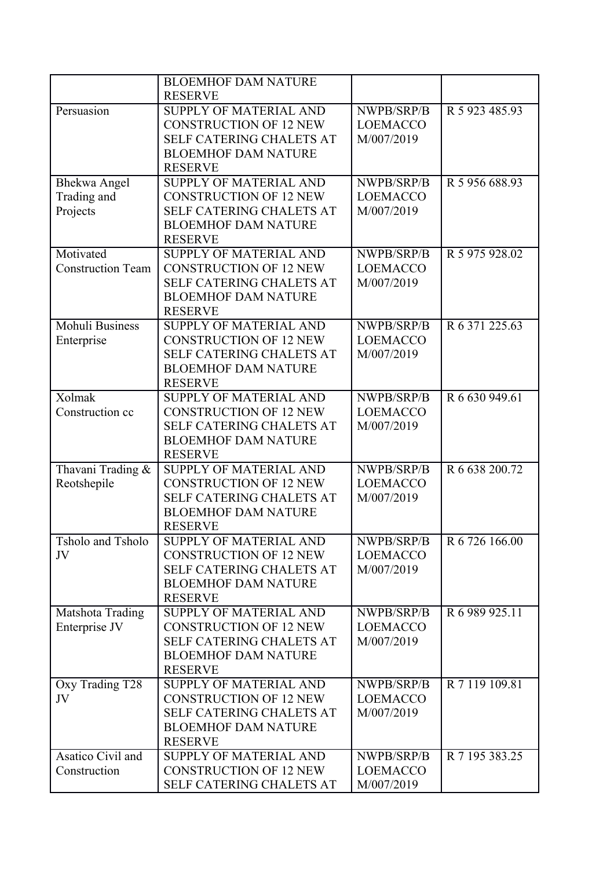|                          | <b>BLOEMHOF DAM NATURE</b>      |                 |                |
|--------------------------|---------------------------------|-----------------|----------------|
|                          | <b>RESERVE</b>                  |                 |                |
| Persuasion               | <b>SUPPLY OF MATERIAL AND</b>   | NWPB/SRP/B      | R 5 923 485.93 |
|                          | <b>CONSTRUCTION OF 12 NEW</b>   | <b>LOEMACCO</b> |                |
|                          | <b>SELF CATERING CHALETS AT</b> | M/007/2019      |                |
|                          | <b>BLOEMHOF DAM NATURE</b>      |                 |                |
|                          | <b>RESERVE</b>                  |                 |                |
| <b>Bhekwa Angel</b>      | <b>SUPPLY OF MATERIAL AND</b>   | NWPB/SRP/B      | R 5 956 688.93 |
| Trading and              | <b>CONSTRUCTION OF 12 NEW</b>   | <b>LOEMACCO</b> |                |
| Projects                 | <b>SELF CATERING CHALETS AT</b> | M/007/2019      |                |
|                          | <b>BLOEMHOF DAM NATURE</b>      |                 |                |
|                          | <b>RESERVE</b>                  |                 |                |
| Motivated                | <b>SUPPLY OF MATERIAL AND</b>   |                 |                |
|                          |                                 | NWPB/SRP/B      | R 5 975 928.02 |
| <b>Construction Team</b> | <b>CONSTRUCTION OF 12 NEW</b>   | <b>LOEMACCO</b> |                |
|                          | SELF CATERING CHALETS AT        | M/007/2019      |                |
|                          | <b>BLOEMHOF DAM NATURE</b>      |                 |                |
|                          | <b>RESERVE</b>                  |                 |                |
| Mohuli Business          | <b>SUPPLY OF MATERIAL AND</b>   | NWPB/SRP/B      | R 6 371 225.63 |
| Enterprise               | <b>CONSTRUCTION OF 12 NEW</b>   | <b>LOEMACCO</b> |                |
|                          | <b>SELF CATERING CHALETS AT</b> | M/007/2019      |                |
|                          | <b>BLOEMHOF DAM NATURE</b>      |                 |                |
|                          | <b>RESERVE</b>                  |                 |                |
| Xolmak                   | <b>SUPPLY OF MATERIAL AND</b>   | NWPB/SRP/B      | R 6 630 949.61 |
| Construction cc          | <b>CONSTRUCTION OF 12 NEW</b>   | <b>LOEMACCO</b> |                |
|                          | <b>SELF CATERING CHALETS AT</b> | M/007/2019      |                |
|                          | <b>BLOEMHOF DAM NATURE</b>      |                 |                |
|                          | <b>RESERVE</b>                  |                 |                |
| Thavani Trading &        | SUPPLY OF MATERIAL AND          | NWPB/SRP/B      | R 6 638 200.72 |
| Reotshepile              | <b>CONSTRUCTION OF 12 NEW</b>   | <b>LOEMACCO</b> |                |
|                          | <b>SELF CATERING CHALETS AT</b> | M/007/2019      |                |
|                          | <b>BLOEMHOF DAM NATURE</b>      |                 |                |
|                          | <b>RESERVE</b>                  |                 |                |
| <b>Tsholo and Tsholo</b> | <b>SUPPLY OF MATERIAL AND</b>   | NWPB/SRP/B      | R 6 726 166.00 |
| JV                       | <b>CONSTRUCTION OF 12 NEW</b>   | <b>LOEMACCO</b> |                |
|                          | <b>SELF CATERING CHALETS AT</b> | M/007/2019      |                |
|                          | <b>BLOEMHOF DAM NATURE</b>      |                 |                |
|                          | <b>RESERVE</b>                  |                 |                |
| Matshota Trading         | <b>SUPPLY OF MATERIAL AND</b>   | NWPB/SRP/B      | R 6 989 925.11 |
| Enterprise JV            | <b>CONSTRUCTION OF 12 NEW</b>   | <b>LOEMACCO</b> |                |
|                          | <b>SELF CATERING CHALETS AT</b> | M/007/2019      |                |
|                          | <b>BLOEMHOF DAM NATURE</b>      |                 |                |
|                          | <b>RESERVE</b>                  |                 |                |
| Oxy Trading T28          | <b>SUPPLY OF MATERIAL AND</b>   | NWPB/SRP/B      | R 7 119 109.81 |
| JV                       | <b>CONSTRUCTION OF 12 NEW</b>   | <b>LOEMACCO</b> |                |
|                          | <b>SELF CATERING CHALETS AT</b> | M/007/2019      |                |
|                          | <b>BLOEMHOF DAM NATURE</b>      |                 |                |
|                          | <b>RESERVE</b>                  |                 |                |
| Asatico Civil and        | <b>SUPPLY OF MATERIAL AND</b>   | NWPB/SRP/B      | R 7 195 383.25 |
|                          |                                 |                 |                |
| Construction             | <b>CONSTRUCTION OF 12 NEW</b>   | <b>LOEMACCO</b> |                |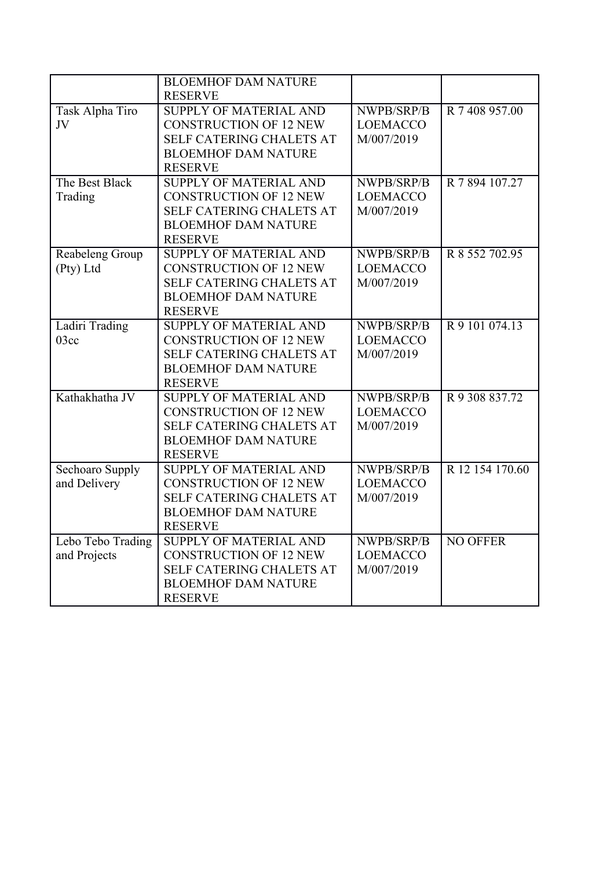|                   | <b>BLOEMHOF DAM NATURE</b>      |                 |                 |
|-------------------|---------------------------------|-----------------|-----------------|
|                   | <b>RESERVE</b>                  |                 |                 |
| Task Alpha Tiro   | <b>SUPPLY OF MATERIAL AND</b>   | NWPB/SRP/B      | R 7 408 957.00  |
| JV                | <b>CONSTRUCTION OF 12 NEW</b>   | <b>LOEMACCO</b> |                 |
|                   | <b>SELF CATERING CHALETS AT</b> | M/007/2019      |                 |
|                   | <b>BLOEMHOF DAM NATURE</b>      |                 |                 |
|                   | <b>RESERVE</b>                  |                 |                 |
| The Best Black    | <b>SUPPLY OF MATERIAL AND</b>   | NWPB/SRP/B      | R 7 894 107.27  |
| Trading           | <b>CONSTRUCTION OF 12 NEW</b>   | <b>LOEMACCO</b> |                 |
|                   | <b>SELF CATERING CHALETS AT</b> | M/007/2019      |                 |
|                   | <b>BLOEMHOF DAM NATURE</b>      |                 |                 |
|                   | <b>RESERVE</b>                  |                 |                 |
| Reabeleng Group   | <b>SUPPLY OF MATERIAL AND</b>   | NWPB/SRP/B      | R 8 552 702.95  |
| (Pty) Ltd         | <b>CONSTRUCTION OF 12 NEW</b>   | <b>LOEMACCO</b> |                 |
|                   | <b>SELF CATERING CHALETS AT</b> | M/007/2019      |                 |
|                   | <b>BLOEMHOF DAM NATURE</b>      |                 |                 |
|                   | <b>RESERVE</b>                  |                 |                 |
| Ladiri Trading    | <b>SUPPLY OF MATERIAL AND</b>   | NWPB/SRP/B      | R 9 101 074.13  |
| 03cc              | <b>CONSTRUCTION OF 12 NEW</b>   | <b>LOEMACCO</b> |                 |
|                   | <b>SELF CATERING CHALETS AT</b> | M/007/2019      |                 |
|                   | <b>BLOEMHOF DAM NATURE</b>      |                 |                 |
|                   | <b>RESERVE</b>                  |                 |                 |
| Kathakhatha JV    | <b>SUPPLY OF MATERIAL AND</b>   | NWPB/SRP/B      | R 9 308 837.72  |
|                   | <b>CONSTRUCTION OF 12 NEW</b>   | <b>LOEMACCO</b> |                 |
|                   | <b>SELF CATERING CHALETS AT</b> | M/007/2019      |                 |
|                   | <b>BLOEMHOF DAM NATURE</b>      |                 |                 |
|                   | <b>RESERVE</b>                  |                 |                 |
| Sechoaro Supply   | <b>SUPPLY OF MATERIAL AND</b>   | NWPB/SRP/B      | R 12 154 170.60 |
| and Delivery      | <b>CONSTRUCTION OF 12 NEW</b>   | <b>LOEMACCO</b> |                 |
|                   | <b>SELF CATERING CHALETS AT</b> | M/007/2019      |                 |
|                   | <b>BLOEMHOF DAM NATURE</b>      |                 |                 |
|                   | <b>RESERVE</b>                  |                 |                 |
| Lebo Tebo Trading | <b>SUPPLY OF MATERIAL AND</b>   | NWPB/SRP/B      | <b>NO OFFER</b> |
| and Projects      | <b>CONSTRUCTION OF 12 NEW</b>   | <b>LOEMACCO</b> |                 |
|                   | SELF CATERING CHALETS AT        | M/007/2019      |                 |
|                   | <b>BLOEMHOF DAM NATURE</b>      |                 |                 |
|                   | <b>RESERVE</b>                  |                 |                 |